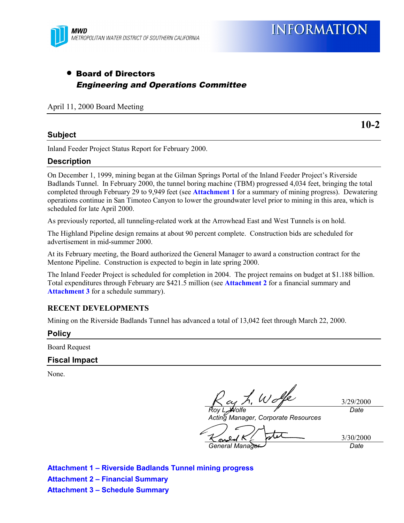

**INFORMATION** 

### • Board of Directors Engineering and Operations Committee

April 11, 2000 Board Meeting

#### **Subject**

**10-2**

Inland Feeder Project Status Report for February 2000.

#### **Description**

On December 1, 1999, mining began at the Gilman Springs Portal of the Inland Feeder Project's Riverside Badlands Tunnel. In February 2000, the tunnel boring machine (TBM) progressed 4,034 feet, bringing the total completed through February 29 to 9,949 feet (see **Attachment 1** for a summary of mining progress). Dewatering operations continue in San Timoteo Canyon to lower the groundwater level prior to mining in this area, which is scheduled for late April 2000.

As previously reported, all tunneling-related work at the Arrowhead East and West Tunnels is on hold.

The Highland Pipeline design remains at about 90 percent complete. Construction bids are scheduled for advertisement in mid-summer 2000.

At its February meeting, the Board authorized the General Manager to award a construction contract for the Mentone Pipeline. Construction is expected to begin in late spring 2000.

The Inland Feeder Project is scheduled for completion in 2004. The project remains on budget at \$1.188 billion. Total expenditures through February are \$421.5 million (see **Attachment 2** for a financial summary and **Attachment 3** for a schedule summary).

#### **RECENT DEVELOPMENTS**

Mining on the Riverside Badlands Tunnel has advanced a total of 13,042 feet through March 22, 2000.

#### **Policy**

Board Request

#### **Fiscal Impact**

None.

L. Wolfe

3/29/2000 *Date*

*Roy L. Wolfe Acting Manager, Corporate Resources*

*General Manager Date*

3/30/2000

**Attachment 1 – Riverside Badlands Tunnel mining progress Attachment 2 – Financial Summary Attachment 3 – Schedule Summary**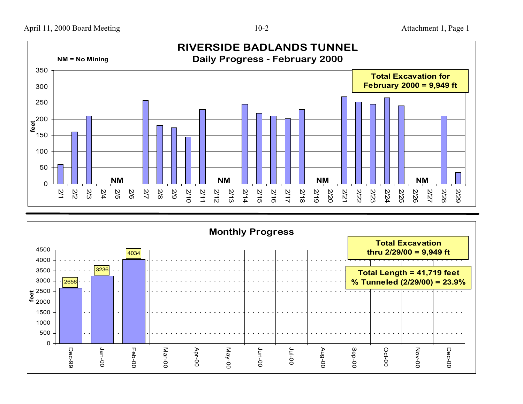

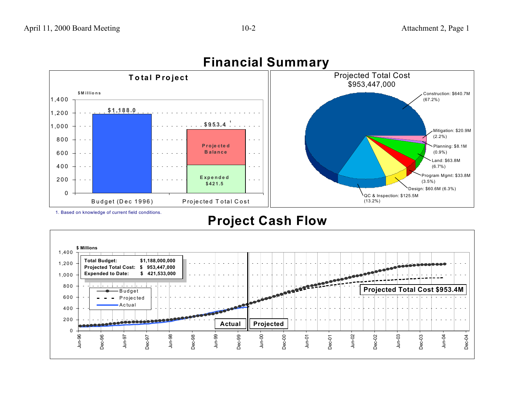

## **Financial Summary**